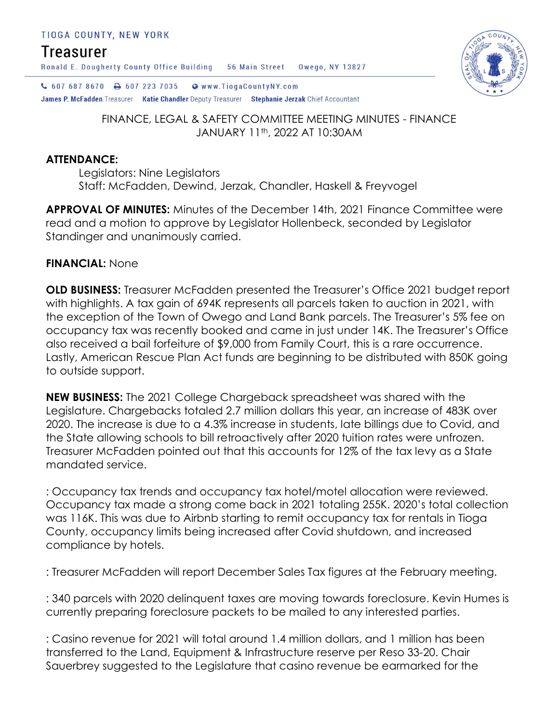## TIOGA COUNTY, NEW YORK

## Treasurer

Ronald E. Dougherty County Office Building 56 Main Street Owego, NY 13827



 $6076878670$   $\bigoplus$  607 223 7035 Www.TiogaCountyNY.com James P. McFadden Treasurer Katie Chandler Deputy Treasurer Stephanie Jerzak Chief Accountant

> FINANCE, LEGAL & SAFETY COMMITTEE MEETING MINUTES - FINANCE JANUARY 11th, 2022 AT 10:30AM

## ATTENDANCE:

Legislators: Nine Legislators Staff: McFadden, Dewind, Jerzak, Chandler, Haskell & Freyvogel

APPROVAL OF MINUTES: Minutes of the December 14th, 2021 Finance Committee were read and a motion to approve by Legislator Hollenbeck, seconded by Legislator Standinger and unanimously carried.

## FINANCIAL: None

OLD BUSINESS: Treasurer McFadden presented the Treasurer's Office 2021 budget report with highlights. A tax gain of 694K represents all parcels taken to auction in 2021, with the exception of the Town of Owego and Land Bank parcels. The Treasurer's 5% fee on occupancy tax was recently booked and came in just under 14K. The Treasurer's Office also received a bail forfeiture of \$9,000 from Family Court, this is a rare occurrence. Lastly, American Rescue Plan Act funds are beginning to be distributed with 850K going to outside support.

NEW BUSINESS: The 2021 College Chargeback spreadsheet was shared with the Legislature. Chargebacks totaled 2.7 million dollars this year, an increase of 483K over 2020. The increase is due to a 4.3% increase in students, late billings due to Covid, and the State allowing schools to bill retroactively after 2020 tuition rates were unfrozen. Treasurer McFadden pointed out that this accounts for 12% of the tax levy as a State mandated service.

: Occupancy tax trends and occupancy tax hotel/motel allocation were reviewed. Occupancy tax made a strong come back in 2021 totaling 255K. 2020's total collection was 116K. This was due to Airbnb starting to remit occupancy tax for rentals in Tioga County, occupancy limits being increased after Covid shutdown, and increased compliance by hotels.

: Treasurer McFadden will report December Sales Tax figures at the February meeting.

: 340 parcels with 2020 delinquent taxes are moving towards foreclosure. Kevin Humes is currently preparing foreclosure packets to be mailed to any interested parties.

: Casino revenue for 2021 will total around 1.4 million dollars, and 1 million has been transferred to the Land, Equipment & Infrastructure reserve per Reso 33-20. Chair Sauerbrey suggested to the Legislature that casino revenue be earmarked for the